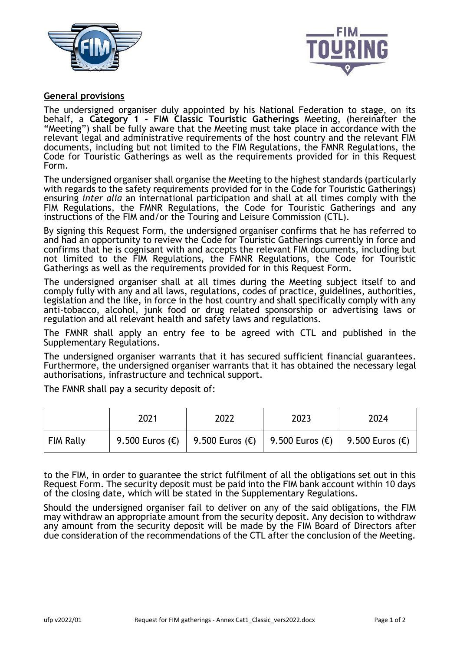



## **General provisions**

The undersigned organiser duly appointed by his National Federation to stage, on its behalf, a **Category 1 - FIM Classic Touristic Gatherings** Meeting, (hereinafter the "Meeting") shall be fully aware that the Meeting must take place in accordance with the relevant legal and administrative requirements of the host country and the relevant FIM documents, including but not limited to the FIM Regulations, the FMNR Regulations, the Code for Touristic Gatherings as well as the requirements provided for in this Request Form.

The undersigned organiser shall organise the Meeting to the highest standards (particularly with regards to the safety requirements provided for in the Code for Touristic Gatherings) ensuring *inter alia* an international participation and shall at all times comply with the FIM Regulations, the FMNR Regulations, the Code for Touristic Gatherings and any instructions of the FIM and/or the Touring and Leisure Commission (CTL).

By signing this Request Form, the undersigned organiser confirms that he has referred to and had an opportunity to review the Code for Touristic Gatherings currently in force and confirms that he is cognisant with and accepts the relevant FIM documents, including but not limited to the FIM Regulations, the FMNR Regulations, the Code for Touristic Gatherings as well as the requirements provided for in this Request Form.

The undersigned organiser shall at all times during the Meeting subject itself to and comply fully with any and all laws, regulations, codes of practice, guidelines, authorities, legislation and the like, in force in the host country and shall specifically comply with any anti-tobacco, alcohol, junk food or drug related sponsorship or advertising laws or regulation and all relevant health and safety laws and regulations.

The FMNR shall apply an entry fee to be agreed with CTL and published in the Supplementary Regulations.

The undersigned organiser warrants that it has secured sufficient financial guarantees. Furthermore, the undersigned organiser warrants that it has obtained the necessary legal authorisations, infrastructure and technical support.

The FMNR shall pay a security deposit of:

|           | 2021 | 2022                                                                  | 2023 | 2024 |
|-----------|------|-----------------------------------------------------------------------|------|------|
| FIM Rally |      | 9.500 Euros (€)   9.500 Euros (€)   9.500 Euros (€)   9.500 Euros (€) |      |      |

to the FIM, in order to guarantee the strict fulfilment of all the obligations set out in this Request Form. The security deposit must be paid into the FIM bank account within 10 days of the closing date, which will be stated in the Supplementary Regulations.

Should the undersigned organiser fail to deliver on any of the said obligations, the FIM may withdraw an appropriate amount from the security deposit. Any decision to withdraw any amount from the security deposit will be made by the FIM Board of Directors after due consideration of the recommendations of the CTL after the conclusion of the Meeting.